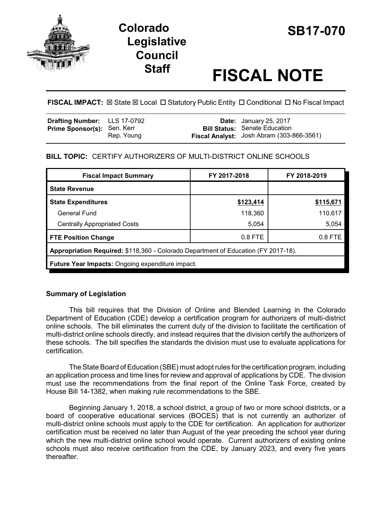

## **Colorado SB17-070 Legislative Council**

# **Staff FISCAL NOTE**

**FISCAL IMPACT:**  $\boxtimes$  **State**  $\boxtimes$  **Local □ Statutory Public Entity □ Conditional □ No Fiscal Impact** 

| <b>Drafting Number:</b> LLS 17-0792 |            | <b>Date:</b> January 25, 2017                                                     |
|-------------------------------------|------------|-----------------------------------------------------------------------------------|
| <b>Prime Sponsor(s): Sen. Kerr</b>  | Rep. Young | <b>Bill Status: Senate Education</b><br>Fiscal Analyst: Josh Abram (303-866-3561) |

#### **BILL TOPIC:** CERTIFY AUTHORIZERS OF MULTI-DISTRICT ONLINE SCHOOLS

| <b>Fiscal Impact Summary</b>                                                       | FY 2017-2018 | FY 2018-2019 |  |  |  |
|------------------------------------------------------------------------------------|--------------|--------------|--|--|--|
| <b>State Revenue</b>                                                               |              |              |  |  |  |
| <b>State Expenditures</b>                                                          | \$123,414    | \$115,671    |  |  |  |
| General Fund                                                                       | 118,360      | 110,617      |  |  |  |
| <b>Centrally Appropriated Costs</b>                                                | 5,054        | 5,054        |  |  |  |
| <b>FTE Position Change</b>                                                         | $0.8$ FTE    | $0.8$ FTE    |  |  |  |
| Appropriation Required: \$118,360 - Colorado Department of Education (FY 2017-18). |              |              |  |  |  |
| <b>Future Year Impacts: Ongoing expenditure impact.</b>                            |              |              |  |  |  |

#### **Summary of Legislation**

This bill requires that the Division of Online and Blended Learning in the Colorado Department of Education (CDE) develop a certification program for authorizers of multi-district online schools. The bill eliminates the current duty of the division to facilitate the certification of multi-district online schools directly, and instead requires that the division certify the authorizers of these schools. The bill specifies the standards the division must use to evaluate applications for certification.

The State Board of Education (SBE) must adopt rules for the certification program, including an application process and time lines for review and approval of applications by CDE. The division must use the recommendations from the final report of the Online Task Force, created by House Bill 14-1382, when making rule recommendations to the SBE.

Beginning January 1, 2018, a school district, a group of two or more school districts, or a board of cooperative educational services (BOCES) that is not currently an authorizer of multi-district online schools must apply to the CDE for certification. An application for authorizer certification must be received no later than August of the year preceding the school year during which the new multi-district online school would operate. Current authorizers of existing online schools must also receive certification from the CDE, by January 2023, and every five years thereafter.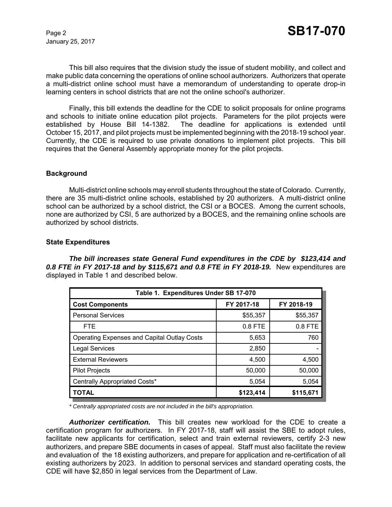January 25, 2017

This bill also requires that the division study the issue of student mobility, and collect and make public data concerning the operations of online school authorizers. Authorizers that operate a multi-district online school must have a memorandum of understanding to operate drop-in learning centers in school districts that are not the online school's authorizer.

Finally, this bill extends the deadline for the CDE to solicit proposals for online programs and schools to initiate online education pilot projects. Parameters for the pilot projects were established by House Bill 14-1382. The deadline for applications is extended until October 15, 2017, and pilot projects must be implemented beginning with the 2018-19 school year. Currently, the CDE is required to use private donations to implement pilot projects. This bill requires that the General Assembly appropriate money for the pilot projects.

#### **Background**

Multi-district online schools may enroll students throughout the state of Colorado. Currently, there are 35 multi-district online schools, established by 20 authorizers. A multi-district online school can be authorized by a school district, the CSI or a BOCES. Among the current schools, none are authorized by CSI, 5 are authorized by a BOCES, and the remaining online schools are authorized by school districts.

#### **State Expenditures**

*The bill increases state General Fund expenditures in the CDE by \$123,414 and 0.8 FTE in FY 2017-18 and by \$115,671 and 0.8 FTE in FY 2018-19.* New expenditures are displayed in Table 1 and described below.

| Table 1. Expenditures Under SB 17-070              |            |            |  |  |  |  |
|----------------------------------------------------|------------|------------|--|--|--|--|
| <b>Cost Components</b>                             | FY 2017-18 | FY 2018-19 |  |  |  |  |
| <b>Personal Services</b>                           | \$55,357   | \$55,357   |  |  |  |  |
| <b>FTE</b>                                         | $0.8$ FTE  | 0.8 FTE    |  |  |  |  |
| <b>Operating Expenses and Capital Outlay Costs</b> | 5,653      | 760        |  |  |  |  |
| <b>Legal Services</b>                              | 2,850      |            |  |  |  |  |
| <b>External Reviewers</b>                          | 4,500      | 4,500      |  |  |  |  |
| <b>Pilot Projects</b>                              | 50,000     | 50,000     |  |  |  |  |
| Centrally Appropriated Costs*                      | 5,054      | 5,054      |  |  |  |  |
| <b>TOTAL</b>                                       | \$123,414  | \$115,671  |  |  |  |  |

*\* Centrally appropriated costs are not included in the bill's appropriation.*

*Authorizer certification.* This bill creates new workload for the CDE to create a certification program for authorizers. In FY 2017-18, staff will assist the SBE to adopt rules, facilitate new applicants for certification, select and train external reviewers, certify 2-3 new authorizers, and prepare SBE documents in cases of appeal. Staff must also facilitate the review and evaluation of the 18 existing authorizers, and prepare for application and re-certification of all existing authorizers by 2023. In addition to personal services and standard operating costs, the CDE will have \$2,850 in legal services from the Department of Law.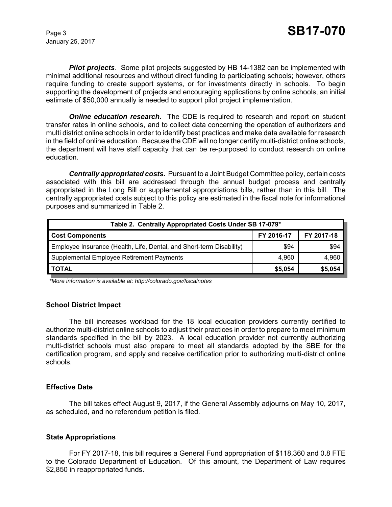January 25, 2017

*Pilot projects*. Some pilot projects suggested by HB 14-1382 can be implemented with minimal additional resources and without direct funding to participating schools; however, others require funding to create support systems, or for investments directly in schools. To begin supporting the development of projects and encouraging applications by online schools, an initial estimate of \$50,000 annually is needed to support pilot project implementation.

*Online education research.* The CDE is required to research and report on student transfer rates in online schools, and to collect data concerning the operation of authorizers and multi district online schools in order to identify best practices and make data available for research in the field of online education. Because the CDE will no longer certify multi-district online schools, the department will have staff capacity that can be re-purposed to conduct research on online education.

*Centrally appropriated costs.* Pursuant to a Joint Budget Committee policy, certain costs associated with this bill are addressed through the annual budget process and centrally appropriated in the Long Bill or supplemental appropriations bills, rather than in this bill. The centrally appropriated costs subject to this policy are estimated in the fiscal note for informational purposes and summarized in Table 2.

| Table 2. Centrally Appropriated Costs Under SB 17-079*               |            |            |  |  |  |
|----------------------------------------------------------------------|------------|------------|--|--|--|
| <b>Cost Components</b>                                               | FY 2016-17 | FY 2017-18 |  |  |  |
| Employee Insurance (Health, Life, Dental, and Short-term Disability) | \$94       | \$94       |  |  |  |
| Supplemental Employee Retirement Payments                            | 4.960      | 4,960      |  |  |  |
| <b>TOTAL</b>                                                         | \$5,054    | \$5,054    |  |  |  |

 *\*More information is available at: http://colorado.gov/fiscalnotes*

#### **School District Impact**

The bill increases workload for the 18 local education providers currently certified to authorize multi-district online schools to adjust their practices in order to prepare to meet minimum standards specified in the bill by 2023. A local education provider not currently authorizing multi-district schools must also prepare to meet all standards adopted by the SBE for the certification program, and apply and receive certification prior to authorizing multi-district online schools.

#### **Effective Date**

The bill takes effect August 9, 2017, if the General Assembly adjourns on May 10, 2017, as scheduled, and no referendum petition is filed.

#### **State Appropriations**

For FY 2017-18, this bill requires a General Fund appropriation of \$118,360 and 0.8 FTE to the Colorado Department of Education. Of this amount, the Department of Law requires \$2,850 in reappropriated funds.